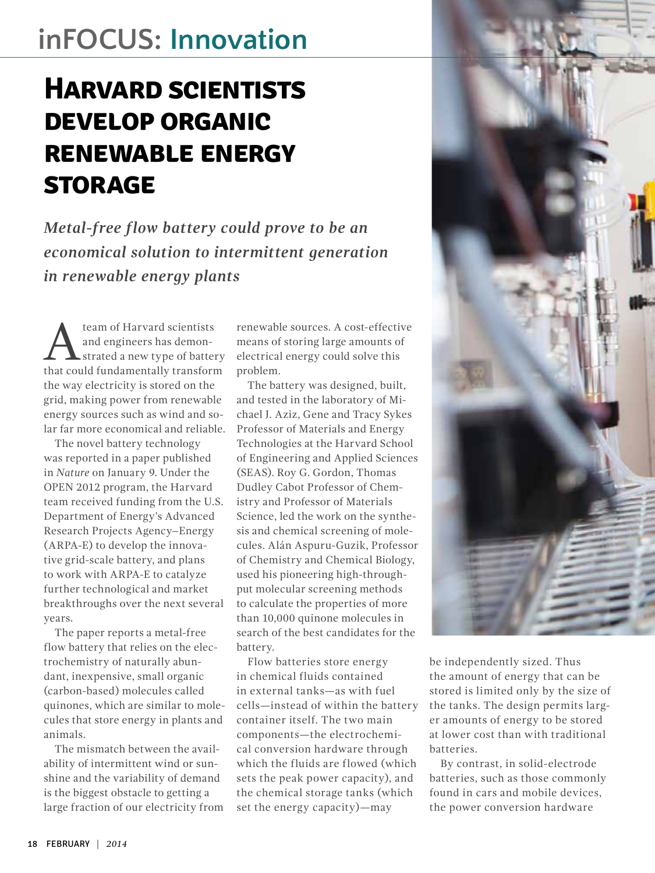## **inFOCUS: Innovation**

## **Harvard scientists develop organic renewable energy storage**

*Metal-free flow battery could prove to be an economical solution to intermittent generation in renewable energy plants*

**A** team of Harvard scientists<br>
and engineers has demon-<br>
that could fundamentally transform and engineers has demonthat could fundamentally transform the way electricity is stored on the grid, making power from renewable energy sources such as wind and solar far more economical and reliable.

The novel battery technology was reported in a paper published in *Nature* on January 9. Under the OPEN 2012 program, the Harvard team received funding from the U.S. Department of Energy's Advanced Research Projects Agency–Energy (ARPA-E) to develop the innovative grid-scale battery, and plans to work with ARPA-E to catalyze further technological and market breakthroughs over the next several years.

The paper reports a metal-free flow battery that relies on the electrochemistry of naturally abundant, inexpensive, small organic (carbon-based) molecules called quinones, which are similar to molecules that store energy in plants and animals.

The mismatch between the availability of intermittent wind or sunshine and the variability of demand is the biggest obstacle to getting a large fraction of our electricity from renewable sources. A cost-effective means of storing large amounts of electrical energy could solve this problem.

The battery was designed, built, and tested in the laboratory of Michael J. Aziz, Gene and Tracy Sykes Professor of Materials and Energy Technologies at the Harvard School of Engineering and Applied Sciences (SEAS). Roy G. Gordon, Thomas Dudley Cabot Professor of Chemistry and Professor of Materials Science, led the work on the synthesis and chemical screening of molecules. Alán Aspuru-Guzik, Professor of Chemistry and Chemical Biology, used his pioneering high-throughput molecular screening methods to calculate the properties of more than 10,000 quinone molecules in search of the best candidates for the battery.

Flow batteries store energy in chemical fluids contained in external tanks—as with fuel cells—instead of within the battery container itself. The two main components—the electrochemical conversion hardware through which the fluids are flowed (which sets the peak power capacity), and the chemical storage tanks (which set the energy capacity)—may



be independently sized. Thus the amount of energy that can be stored is limited only by the size of the tanks. The design permits larger amounts of energy to be stored at lower cost than with traditional batteries.

By contrast, in solid-electrode batteries, such as those commonly found in cars and mobile devices, the power conversion hardware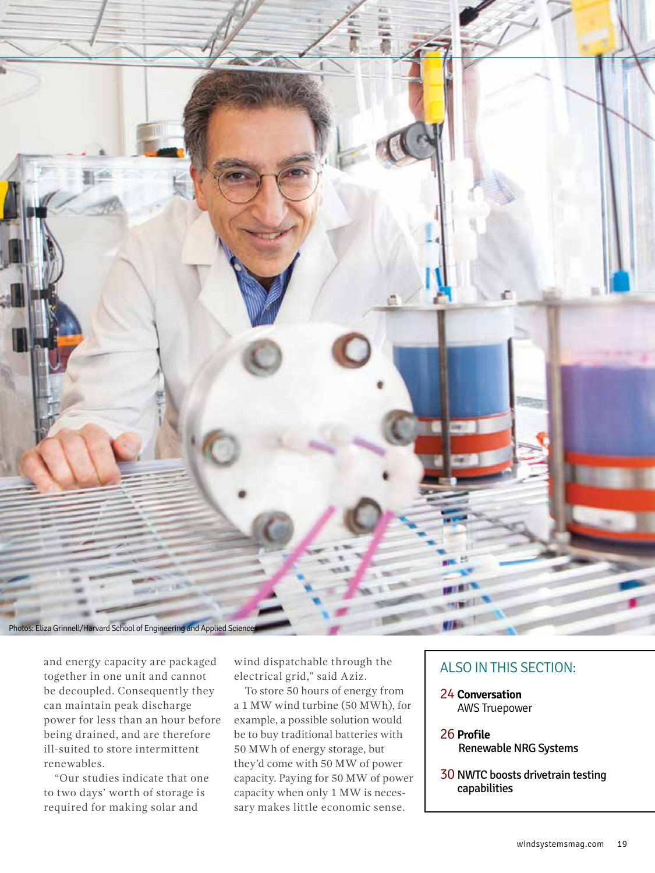

and energy capacity are packaged together in one unit and cannot be decoupled. Consequently they can maintain peak discharge power for less than an hour before being drained, and are therefore ill-suited to store intermittent renewables.

"Our studies indicate that one to two days' worth of storage is required for making solar and

wind dispatchable through the electrical grid," said Aziz.

To store 50 hours of energy from a 1 MW wind turbine (50 MWh), for example, a possible solution would be to buy traditional batteries with 50 MWh of energy storage, but they'd come with 50 MW of power capacity. Paying for 50 MW of power capacity when only 1 MW is necessary makes little economic sense.

## ALSO IN THIS SECTION:

- 24 **Conversation** AWS Truepower
- 26 **Profile** Renewable NRG Systems
- 30 NWTC boosts drivetrain testing capabilities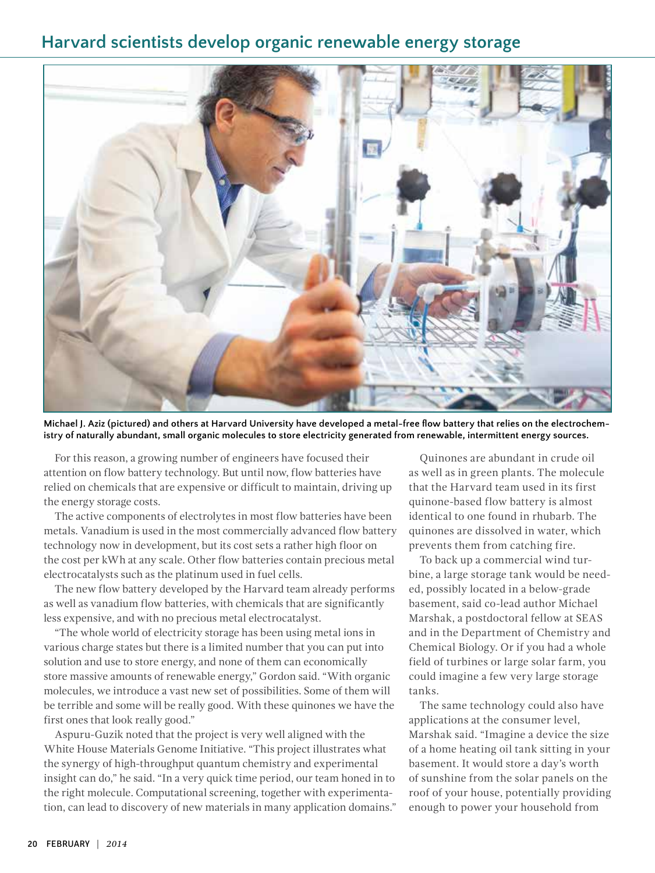## **Harvard scientists develop organic renewable energy storage**



**Michael J. Aziz (pictured) and others at Harvard University have developed a metal-free flow battery that relies on the electrochemistry of naturally abundant, small organic molecules to store electricity generated from renewable, intermittent energy sources.** 

For this reason, a growing number of engineers have focused their attention on flow battery technology. But until now, flow batteries have relied on chemicals that are expensive or difficult to maintain, driving up the energy storage costs.

The active components of electrolytes in most flow batteries have been metals. Vanadium is used in the most commercially advanced flow battery technology now in development, but its cost sets a rather high floor on the cost per kWh at any scale. Other flow batteries contain precious metal electrocatalysts such as the platinum used in fuel cells.

The new flow battery developed by the Harvard team already performs as well as vanadium flow batteries, with chemicals that are significantly less expensive, and with no precious metal electrocatalyst.

"The whole world of electricity storage has been using metal ions in various charge states but there is a limited number that you can put into solution and use to store energy, and none of them can economically store massive amounts of renewable energy," Gordon said. "With organic molecules, we introduce a vast new set of possibilities. Some of them will be terrible and some will be really good. With these quinones we have the first ones that look really good."

Aspuru-Guzik noted that the project is very well aligned with the White House Materials Genome Initiative. "This project illustrates what the synergy of high-throughput quantum chemistry and experimental insight can do," he said. "In a very quick time period, our team honed in to the right molecule. Computational screening, together with experimentation, can lead to discovery of new materials in many application domains."

Quinones are abundant in crude oil as well as in green plants. The molecule that the Harvard team used in its first quinone-based flow battery is almost identical to one found in rhubarb. The quinones are dissolved in water, which prevents them from catching fire.

To back up a commercial wind turbine, a large storage tank would be needed, possibly located in a below-grade basement, said co-lead author Michael Marshak, a postdoctoral fellow at SEAS and in the Department of Chemistry and Chemical Biology. Or if you had a whole field of turbines or large solar farm, you could imagine a few very large storage tanks.

The same technology could also have applications at the consumer level, Marshak said. "Imagine a device the size of a home heating oil tank sitting in your basement. It would store a day's worth of sunshine from the solar panels on the roof of your house, potentially providing enough to power your household from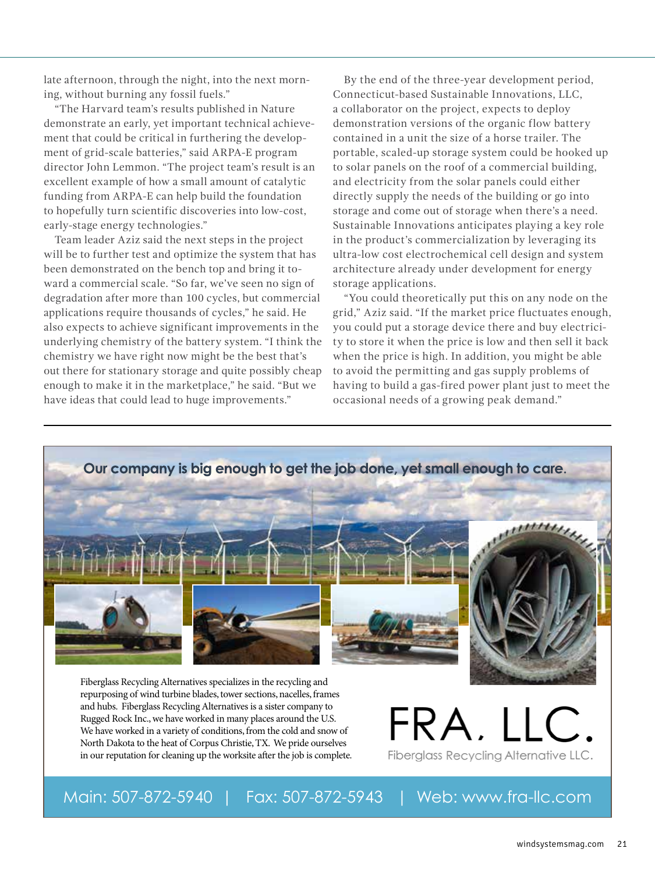late afternoon, through the night, into the next morning, without burning any fossil fuels."

"The Harvard team's results published in Nature demonstrate an early, yet important technical achievement that could be critical in furthering the development of grid-scale batteries," said ARPA-E program director John Lemmon. "The project team's result is an excellent example of how a small amount of catalytic funding from ARPA-E can help build the foundation to hopefully turn scientific discoveries into low-cost, early-stage energy technologies."

Team leader Aziz said the next steps in the project will be to further test and optimize the system that has been demonstrated on the bench top and bring it toward a commercial scale. "So far, we've seen no sign of degradation after more than 100 cycles, but commercial applications require thousands of cycles," he said. He also expects to achieve significant improvements in the underlying chemistry of the battery system. "I think the chemistry we have right now might be the best that's out there for stationary storage and quite possibly cheap enough to make it in the marketplace," he said. "But we have ideas that could lead to huge improvements."

By the end of the three-year development period, Connecticut-based Sustainable Innovations, LLC, a collaborator on the project, expects to deploy demonstration versions of the organic flow battery contained in a unit the size of a horse trailer. The portable, scaled-up storage system could be hooked up to solar panels on the roof of a commercial building, and electricity from the solar panels could either directly supply the needs of the building or go into storage and come out of storage when there's a need. Sustainable Innovations anticipates playing a key role in the product's commercialization by leveraging its ultra-low cost electrochemical cell design and system architecture already under development for energy storage applications.

"You could theoretically put this on any node on the grid," Aziz said. "If the market price fluctuates enough, you could put a storage device there and buy electricity to store it when the price is low and then sell it back when the price is high. In addition, you might be able to avoid the permitting and gas supply problems of having to build a gas-fired power plant just to meet the occasional needs of a growing peak demand."